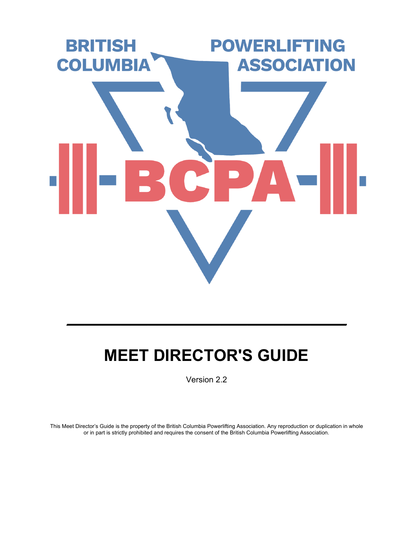

# **MEET DIRECTOR'S GUIDE**

 $\mathcal{L}_\text{max}$  and  $\mathcal{L}_\text{max}$  and  $\mathcal{L}_\text{max}$  and  $\mathcal{L}_\text{max}$  and  $\mathcal{L}_\text{max}$ 

Version 2.2

This Meet Director's Guide is the property of the British Columbia Powerlifting Association. Any reproduction or duplication in whole or in part is strictly prohibited and requires the consent of the British Columbia Powerlifting Association.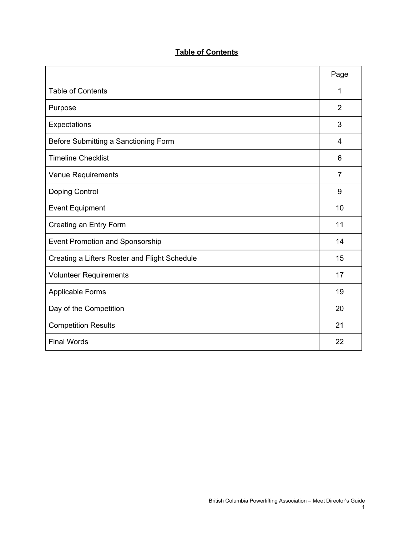### **Table of Contents**

|                                               | Page           |
|-----------------------------------------------|----------------|
| <b>Table of Contents</b>                      | 1              |
| Purpose                                       | $\overline{2}$ |
| Expectations                                  | 3              |
| Before Submitting a Sanctioning Form          | 4              |
| <b>Timeline Checklist</b>                     | 6              |
| <b>Venue Requirements</b>                     | $\overline{7}$ |
| Doping Control                                | 9              |
| <b>Event Equipment</b>                        | 10             |
| Creating an Entry Form                        | 11             |
| Event Promotion and Sponsorship               | 14             |
| Creating a Lifters Roster and Flight Schedule | 15             |
| <b>Volunteer Requirements</b>                 | 17             |
| <b>Applicable Forms</b>                       | 19             |
| Day of the Competition                        | 20             |
| <b>Competition Results</b>                    | 21             |
| <b>Final Words</b>                            | 22             |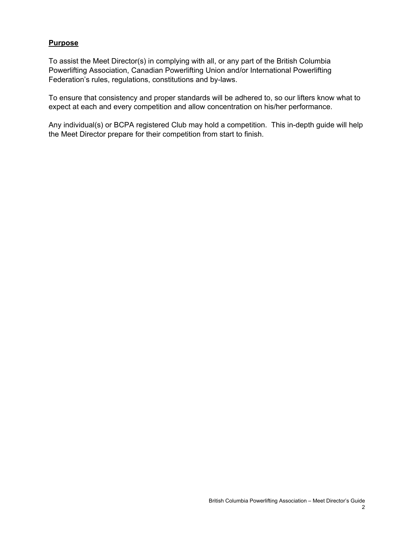#### **Purpose**

To assist the Meet Director(s) in complying with all, or any part of the British Columbia Powerlifting Association, Canadian Powerlifting Union and/or International Powerlifting Federation's rules, regulations, constitutions and by-laws.

To ensure that consistency and proper standards will be adhered to, so our lifters know what to expect at each and every competition and allow concentration on his/her performance.

Any individual(s) or BCPA registered Club may hold a competition. This in-depth guide will help the Meet Director prepare for their competition from start to finish.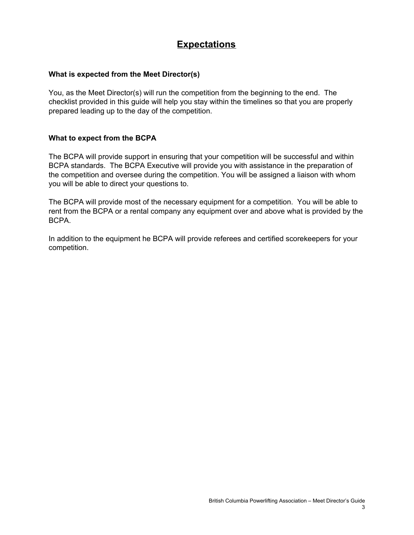### **Expectations**

#### **What is expected from the Meet Director(s)**

You, as the Meet Director(s) will run the competition from the beginning to the end. The checklist provided in this guide will help you stay within the timelines so that you are properly prepared leading up to the day of the competition.

#### **What to expect from the BCPA**

The BCPA will provide support in ensuring that your competition will be successful and within BCPA standards. The BCPA Executive will provide you with assistance in the preparation of the competition and oversee during the competition. You will be assigned a liaison with whom you will be able to direct your questions to.

The BCPA will provide most of the necessary equipment for a competition. You will be able to rent from the BCPA or a rental company any equipment over and above what is provided by the BCPA.

In addition to the equipment he BCPA will provide referees and certified scorekeepers for your competition.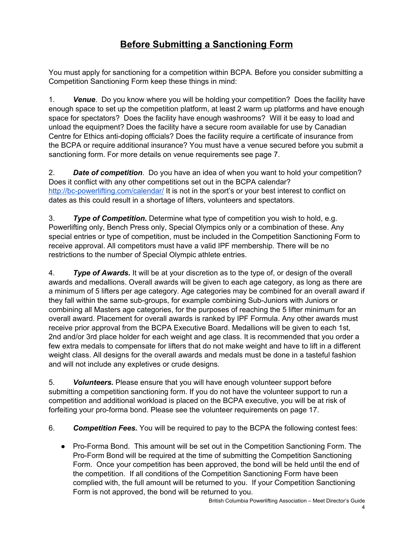# **Before Submitting a Sanctioning Form**

You must apply for sanctioning for a competition within BCPA. Before you consider submitting a Competition Sanctioning Form keep these things in mind:

1. *Venue*. Do you know where you will be holding your competition? Does the facility have enough space to set up the competition platform, at least 2 warm up platforms and have enough space for spectators? Does the facility have enough washrooms? Will it be easy to load and unload the equipment? Does the facility have a secure room available for use by Canadian Centre for Ethics anti-doping officials? Does the facility require a certificate of insurance from the BCPA or require additional insurance? You must have a venue secured before you submit a sanctioning form. For more details on venue requirements see page 7.

2. *Date of competition*. Do you have an idea of when you want to hold your competition? Does it conflict with any other competitions set out in the BCPA calendar? <http://bc-powerlifting.com/calendar/> It is not in the sport's or your best interest to conflict on dates as this could result in a shortage of lifters, volunteers and spectators.

3. *Type of Competition.* Determine what type of competition you wish to hold, e.g. Powerlifting only, Bench Press only, Special Olympics only or a combination of these. Any special entries or type of competition, must be included in the Competition Sanctioning Form to receive approval. All competitors must have a valid IPF membership. There will be no restrictions to the number of Special Olympic athlete entries.

4. *Type of Awards.* It will be at your discretion as to the type of, or design of the overall awards and medallions. Overall awards will be given to each age category, as long as there are a minimum of 5 lifters per age category. Age categories may be combined for an overall award if they fall within the same sub-groups, for example combining Sub-Juniors with Juniors or combining all Masters age categories, for the purposes of reaching the 5 lifter minimum for an overall award. Placement for overall awards is ranked by IPF Formula. Any other awards must receive prior approval from the BCPA Executive Board. Medallions will be given to each 1st, 2nd and/or 3rd place holder for each weight and age class. It is recommended that you order a few extra medals to compensate for lifters that do not make weight and have to lift in a different weight class. All designs for the overall awards and medals must be done in a tasteful fashion and will not include any expletives or crude designs.

5. *Volunteers.* Please ensure that you will have enough volunteer support before submitting a competition sanctioning form. If you do not have the volunteer support to run a competition and additional workload is placed on the BCPA executive, you will be at risk of forfeiting your pro-forma bond. Please see the volunteer requirements on page 17.

6. *Competition Fees.* You will be required to pay to the BCPA the following contest fees:

● Pro-Forma Bond. This amount will be set out in the Competition Sanctioning Form. The Pro-Form Bond will be required at the time of submitting the Competition Sanctioning Form. Once your competition has been approved, the bond will be held until the end of the competition. If all conditions of the Competition Sanctioning Form have been complied with, the full amount will be returned to you. If your Competition Sanctioning Form is not approved, the bond will be returned to you.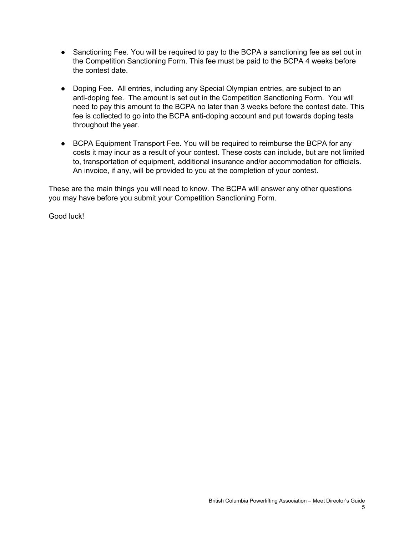- Sanctioning Fee. You will be required to pay to the BCPA a sanctioning fee as set out in the Competition Sanctioning Form. This fee must be paid to the BCPA 4 weeks before the contest date.
- Doping Fee. All entries, including any Special Olympian entries, are subject to an anti-doping fee. The amount is set out in the Competition Sanctioning Form. You will need to pay this amount to the BCPA no later than 3 weeks before the contest date. This fee is collected to go into the BCPA anti-doping account and put towards doping tests throughout the year.
- BCPA Equipment Transport Fee. You will be required to reimburse the BCPA for any costs it may incur as a result of your contest. These costs can include, but are not limited to, transportation of equipment, additional insurance and/or accommodation for officials. An invoice, if any, will be provided to you at the completion of your contest.

These are the main things you will need to know. The BCPA will answer any other questions you may have before you submit your Competition Sanctioning Form.

Good luck!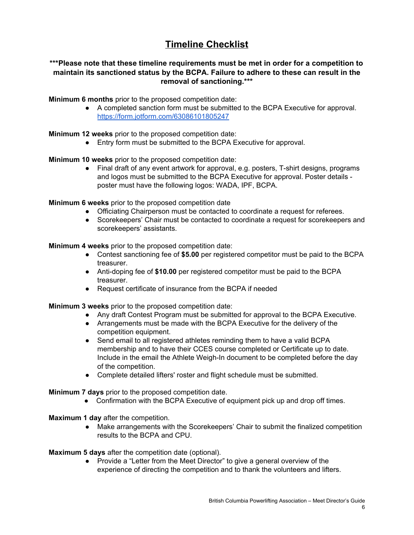# **Timeline Checklist**

#### **\*\*\*Please note that these timeline requirements must be met in order for a competition to maintain its sanctioned status by the BCPA. Failure to adhere to these can result in the removal of sanctioning.\*\*\***

**Minimum 6 months** prior to the proposed competition date:

● A completed sanction form must be submitted to the BCPA Executive for approval. <https://form.jotform.com/63086101805247>

**Minimum 12 weeks** prior to the proposed competition date:

● Entry form must be submitted to the BCPA Executive for approval.

**Minimum 10 weeks** prior to the proposed competition date:

● Final draft of any event artwork for approval, e.g. posters, T-shirt designs, programs and logos must be submitted to the BCPA Executive for approval. Poster details poster must have the following logos: WADA, IPF, BCPA.

**Minimum 6 weeks** prior to the proposed competition date

- Officiating Chairperson must be contacted to coordinate a request for referees.
- Scorekeepers' Chair must be contacted to coordinate a request for scorekeepers and scorekeepers' assistants.

**Minimum 4 weeks** prior to the proposed competition date:

- Contest sanctioning fee of **\$5.00** per registered competitor must be paid to the BCPA treasurer.
- Anti-doping fee of **\$10.00** per registered competitor must be paid to the BCPA treasurer.
- Request certificate of insurance from the BCPA if needed

**Minimum 3 weeks** prior to the proposed competition date:

- Any draft Contest Program must be submitted for approval to the BCPA Executive.
- Arrangements must be made with the BCPA Executive for the delivery of the competition equipment.
- Send email to all registered athletes reminding them to have a valid BCPA membership and to have their CCES course completed or Certificate up to date. Include in the email the Athlete Weigh-In document to be completed before the day of the competition.
- Complete detailed lifters' roster and flight schedule must be submitted.

**Minimum 7 days** prior to the proposed competition date.

● Confirmation with the BCPA Executive of equipment pick up and drop off times.

**Maximum 1 day** after the competition.

● Make arrangements with the Scorekeepers' Chair to submit the finalized competition results to the BCPA and CPU.

**Maximum 5 days** after the competition date (optional).

● Provide a "Letter from the Meet Director" to give a general overview of the experience of directing the competition and to thank the volunteers and lifters.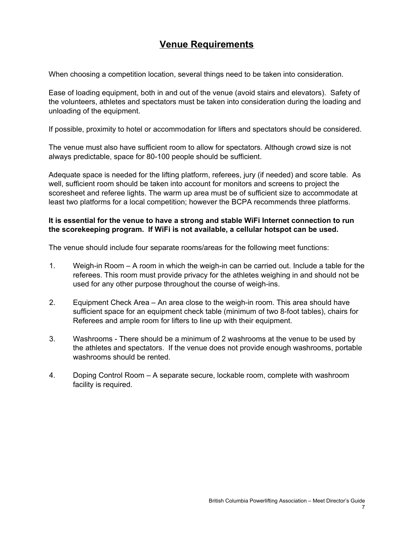### **Venue Requirements**

When choosing a competition location, several things need to be taken into consideration.

Ease of loading equipment, both in and out of the venue (avoid stairs and elevators). Safety of the volunteers, athletes and spectators must be taken into consideration during the loading and unloading of the equipment.

If possible, proximity to hotel or accommodation for lifters and spectators should be considered.

The venue must also have sufficient room to allow for spectators. Although crowd size is not always predictable, space for 80-100 people should be sufficient.

Adequate space is needed for the lifting platform, referees, jury (if needed) and score table. As well, sufficient room should be taken into account for monitors and screens to project the scoresheet and referee lights. The warm up area must be of sufficient size to accommodate at least two platforms for a local competition; however the BCPA recommends three platforms.

#### **It is essential for the venue to have a strong and stable WiFi Internet connection to run the scorekeeping program. If WiFi is not available, a cellular hotspot can be used.**

The venue should include four separate rooms/areas for the following meet functions:

- 1. Weigh-in Room A room in which the weigh-in can be carried out. Include a table for the referees. This room must provide privacy for the athletes weighing in and should not be used for any other purpose throughout the course of weigh-ins.
- 2. Equipment Check Area An area close to the weigh-in room. This area should have sufficient space for an equipment check table (minimum of two 8-foot tables), chairs for Referees and ample room for lifters to line up with their equipment.
- 3. Washrooms There should be a minimum of 2 washrooms at the venue to be used by the athletes and spectators. If the venue does not provide enough washrooms, portable washrooms should be rented.
- 4. Doping Control Room A separate secure, lockable room, complete with washroom facility is required.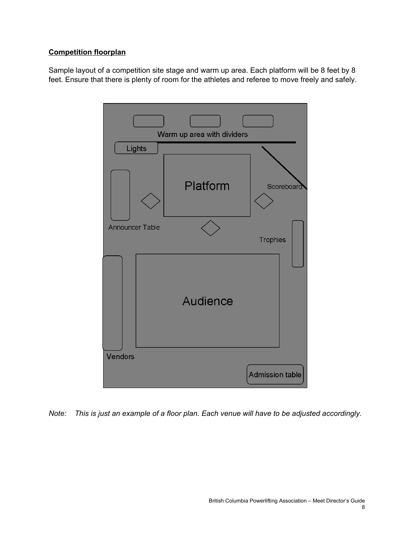#### **Competition floorplan**

Sample layout of a competition site stage and warm up area. Each platform will be 8 feet by 8 feet. Ensure that there is plenty of room for the athletes and referee to move freely and safely.



*Note: This is just an example of a floor plan. Each venue will have to be adjusted accordingly.*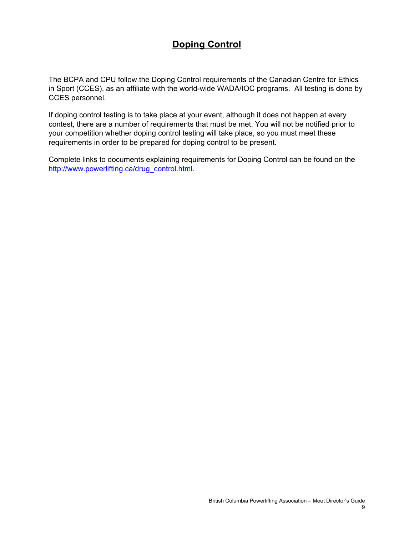# **Doping Control**

The BCPA and CPU follow the Doping Control requirements of the Canadian Centre for Ethics in Sport (CCES), as an affiliate with the world-wide WADA/IOC programs. All testing is done by CCES personnel.

If doping control testing is to take place at your event, although it does not happen at every contest, there are a number of requirements that must be met. You will not be notified prior to your competition whether doping control testing will take place, so you must meet these requirements in order to be prepared for doping control to be present.

Complete links to documents explaining requirements for Doping Control can be found on the [http://www.powerlifting.ca/drug\\_control.html](http://www.powerlifting.ca/drug_control.html).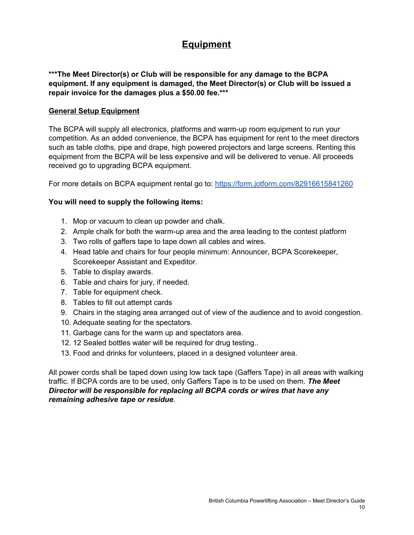### **Equipment**

**\*\*\*The Meet Director(s) or Club will be responsible for any damage to the BCPA equipment. If any equipment is damaged, the Meet Director(s) or Club will be issued a repair invoice for the damages plus a \$50.00 fee.\*\*\***

#### **General Setup Equipment**

The BCPA will supply all electronics, platforms and warm-up room equipment to run your competition. As an added convenience, the BCPA has equipment for rent to the meet directors such as table cloths, pipe and drape, high powered projectors and large screens. Renting this equipment from the BCPA will be less expensive and will be delivered to venue. All proceeds received go to upgrading BCPA equipment.

For more details on BCPA equipment rental go to: <https://form.jotform.com/82916615841260>

#### **You will need to supply the following items:**

- 1. Mop or vacuum to clean up powder and chalk.
- 2. Ample chalk for both the warm-up area and the area leading to the contest platform
- 3. Two rolls of gaffers tape to tape down all cables and wires.
- 4. Head table and chairs for four people minimum: Announcer, BCPA Scorekeeper, Scorekeeper Assistant and Expeditor.
- 5. Table to display awards.
- 6. Table and chairs for jury, if needed.
- 7. Table for equipment check.
- 8. Tables to fill out attempt cards
- 9. Chairs in the staging area arranged out of view of the audience and to avoid congestion.
- 10. Adequate seating for the spectators.
- 11. Garbage cans for the warm up and spectators area.
- 12. 12 Sealed bottles water will be required for drug testing..
- 13. Food and drinks for volunteers, placed in a designed volunteer area.

All power cords shall be taped down using low tack tape (Gaffers Tape) in all areas with walking traffic. If BCPA cords are to be used, only Gaffers Tape is to be used on them. *The Meet Director will be responsible for replacing all BCPA cords or wires that have any remaining adhesive tape or residue*.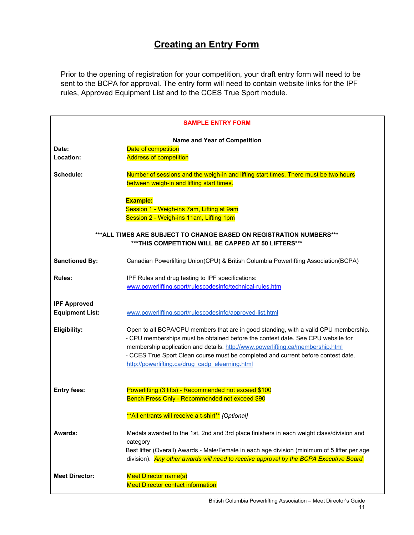# **Creating an Entry Form**

Prior to the opening of registration for your competition, your draft entry form will need to be sent to the BCPA for approval. The entry form will need to contain website links for the IPF rules, Approved Equipment List and to the CCES True Sport module.

| <b>SAMPLE ENTRY FORM</b>                      |                                                                                                                                                                                                                                                                                                                                                                                                   |  |  |  |  |  |  |  |  |  |
|-----------------------------------------------|---------------------------------------------------------------------------------------------------------------------------------------------------------------------------------------------------------------------------------------------------------------------------------------------------------------------------------------------------------------------------------------------------|--|--|--|--|--|--|--|--|--|
| Date:<br>Location:                            | Name and Year of Competition<br>Date of competition<br><b>Address of competition</b>                                                                                                                                                                                                                                                                                                              |  |  |  |  |  |  |  |  |  |
| Schedule:                                     | Number of sessions and the weigh-in and lifting start times. There must be two hours<br>between weigh-in and lifting start times.                                                                                                                                                                                                                                                                 |  |  |  |  |  |  |  |  |  |
|                                               | <b>Example:</b><br>Session 1 - Weigh-ins 7am, Lifting at 9am<br>Session 2 - Weigh-ins 11am, Lifting 1pm                                                                                                                                                                                                                                                                                           |  |  |  |  |  |  |  |  |  |
|                                               | *** ALL TIMES ARE SUBJECT TO CHANGE BASED ON REGISTRATION NUMBERS ***<br>*** THIS COMPETITION WILL BE CAPPED AT 50 LIFTERS***                                                                                                                                                                                                                                                                     |  |  |  |  |  |  |  |  |  |
| <b>Sanctioned By:</b>                         | Canadian Powerlifting Union(CPU) & British Columbia Powerlifting Association(BCPA)                                                                                                                                                                                                                                                                                                                |  |  |  |  |  |  |  |  |  |
| <b>Rules:</b>                                 | IPF Rules and drug testing to IPF specifications:<br>www.powerlifting.sport/rulescodesinfo/technical-rules.htm                                                                                                                                                                                                                                                                                    |  |  |  |  |  |  |  |  |  |
| <b>IPF Approved</b><br><b>Equipment List:</b> | www.powerlifting.sport/rulescodesinfo/approved-list.html                                                                                                                                                                                                                                                                                                                                          |  |  |  |  |  |  |  |  |  |
| Eligibility:                                  | Open to all BCPA/CPU members that are in good standing, with a valid CPU membership.<br>- CPU memberships must be obtained before the contest date. See CPU website for<br>membership application and details. http://www.powerlifting.ca/membership.html<br>- CCES True Sport Clean course must be completed and current before contest date.<br>http://powerlifting.ca/drug_cadp_elearning.html |  |  |  |  |  |  |  |  |  |
| <b>Entry fees:</b>                            | Powerlifting (3 lifts) - Recommended not exceed \$100<br>Bench Press Only - Recommended not exceed \$90                                                                                                                                                                                                                                                                                           |  |  |  |  |  |  |  |  |  |
|                                               | **All entrants will receive a t-shirt** [Optional]                                                                                                                                                                                                                                                                                                                                                |  |  |  |  |  |  |  |  |  |
| Awards:                                       | Medals awarded to the 1st, 2nd and 3rd place finishers in each weight class/division and<br>category<br>Best lifter (Overall) Awards - Male/Female in each age division (minimum of 5 lifter per age<br>division). Any other awards will need to receive approval by the BCPA Executive Board.                                                                                                    |  |  |  |  |  |  |  |  |  |
| <b>Meet Director:</b>                         | <b>Meet Director name(s)</b><br><b>Meet Director contact information</b>                                                                                                                                                                                                                                                                                                                          |  |  |  |  |  |  |  |  |  |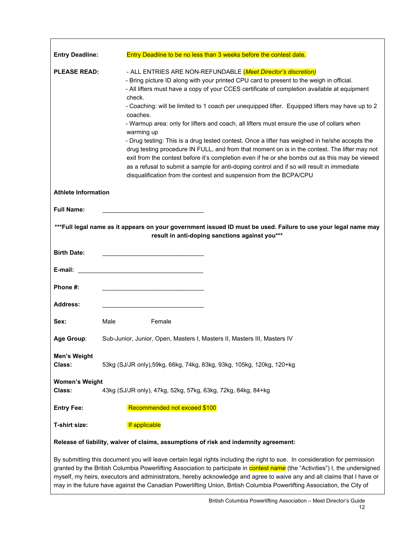| <b>Entry Deadline:</b>          | Entry Deadline to be no less than 3 weeks before the contest date.                                                                                                                                                                                                                                                                                                                                                                                                                                                                                                                                                                                                                                                                                                                                                                                                                                                                                                      |
|---------------------------------|-------------------------------------------------------------------------------------------------------------------------------------------------------------------------------------------------------------------------------------------------------------------------------------------------------------------------------------------------------------------------------------------------------------------------------------------------------------------------------------------------------------------------------------------------------------------------------------------------------------------------------------------------------------------------------------------------------------------------------------------------------------------------------------------------------------------------------------------------------------------------------------------------------------------------------------------------------------------------|
| <b>PLEASE READ:</b>             | - ALL ENTRIES ARE NON-REFUNDABLE (Meet Director's discretion)<br>- Bring picture ID along with your printed CPU card to present to the weigh in official.<br>- All lifters must have a copy of your CCES certificate of completion available at equipment<br>check.<br>- Coaching: will be limited to 1 coach per unequipped lifter. Equipped lifters may have up to 2<br>coaches.<br>- Warmup area: only for lifters and coach, all lifters must ensure the use of collars when<br>warming up<br>- Drug testing: This is a drug tested contest. Once a lifter has weighed in he/she accepts the<br>drug testing procedure IN FULL, and from that moment on is in the contest. The lifter may not<br>exit from the contest before it's completion even if he or she bombs out as this may be viewed<br>as a refusal to submit a sample for anti-doping control and if so will result in immediate<br>disqualification from the contest and suspension from the BCPA/CPU |
| <b>Athlete Information</b>      |                                                                                                                                                                                                                                                                                                                                                                                                                                                                                                                                                                                                                                                                                                                                                                                                                                                                                                                                                                         |
| <b>Full Name:</b>               |                                                                                                                                                                                                                                                                                                                                                                                                                                                                                                                                                                                                                                                                                                                                                                                                                                                                                                                                                                         |
|                                 | ***Full legal name as it appears on your government issued ID must be used. Failure to use your legal name may<br>result in anti-doping sanctions against you***                                                                                                                                                                                                                                                                                                                                                                                                                                                                                                                                                                                                                                                                                                                                                                                                        |
| <b>Birth Date:</b>              |                                                                                                                                                                                                                                                                                                                                                                                                                                                                                                                                                                                                                                                                                                                                                                                                                                                                                                                                                                         |
| E-mail:                         | <u> 1989 - Johann Barbara, martxa alemaniar a</u>                                                                                                                                                                                                                                                                                                                                                                                                                                                                                                                                                                                                                                                                                                                                                                                                                                                                                                                       |
| Phone #:                        |                                                                                                                                                                                                                                                                                                                                                                                                                                                                                                                                                                                                                                                                                                                                                                                                                                                                                                                                                                         |
| <b>Address:</b>                 |                                                                                                                                                                                                                                                                                                                                                                                                                                                                                                                                                                                                                                                                                                                                                                                                                                                                                                                                                                         |
| Sex:                            | Male<br>Female                                                                                                                                                                                                                                                                                                                                                                                                                                                                                                                                                                                                                                                                                                                                                                                                                                                                                                                                                          |
| Age Group:                      | Sub-Junior, Junior, Open, Masters I, Masters II, Masters III, Masters IV                                                                                                                                                                                                                                                                                                                                                                                                                                                                                                                                                                                                                                                                                                                                                                                                                                                                                                |
| Men's Weight<br>Class:          | 53kg (SJ/JR only), 59kg, 66kg, 74kg, 83kg, 93kg, 105kg, 120kg, 120+kg                                                                                                                                                                                                                                                                                                                                                                                                                                                                                                                                                                                                                                                                                                                                                                                                                                                                                                   |
| <b>Women's Weight</b><br>Class: | 43kg (SJ/JR only), 47kg, 52kg, 57kg, 63kg, 72kg, 84kg, 84+kg                                                                                                                                                                                                                                                                                                                                                                                                                                                                                                                                                                                                                                                                                                                                                                                                                                                                                                            |
| <b>Entry Fee:</b>               | Recommended not exceed \$100                                                                                                                                                                                                                                                                                                                                                                                                                                                                                                                                                                                                                                                                                                                                                                                                                                                                                                                                            |
| T-shirt size:                   | If applicable                                                                                                                                                                                                                                                                                                                                                                                                                                                                                                                                                                                                                                                                                                                                                                                                                                                                                                                                                           |
|                                 | Release of liability, waiver of claims, assumptions of risk and indemnity agreement:                                                                                                                                                                                                                                                                                                                                                                                                                                                                                                                                                                                                                                                                                                                                                                                                                                                                                    |
|                                 | By submitting this document you will leave certain legal rights including the right to sue. In consideration for permission<br>granted by the British Columbia Powerlifting Association to participate in contest name (the "Activities") I, the undersigned<br>myself, my heirs, executors and administrators, hereby acknowledge and agree to waive any and all claims that I have or<br>may in the future have against the Canadian Powerlifting Union, British Columbia Powerlifting Association, the City of                                                                                                                                                                                                                                                                                                                                                                                                                                                       |

Г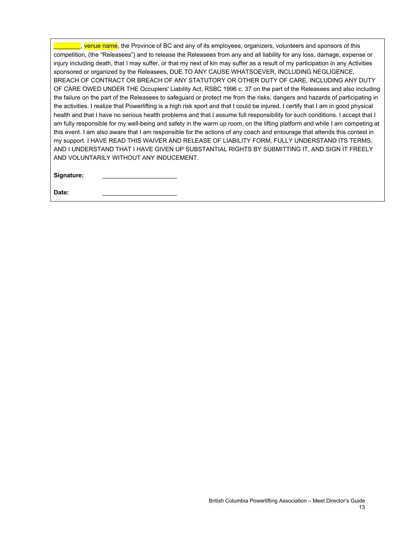$\blacksquare$ , venue name, the Province of BC and any of its employees, organizers, volunteers and sponsors of this competition, (the "Releasees") and to release the Releasees from any and all liability for any loss, damage, expense or injury including death, that I may suffer, or that my next of kin may suffer as a result of my participation in any Activities sponsored or organized by the Releasees, DUE TO ANY CAUSE WHATSOEVER, INCLUDING NEGLIGENCE, BREACH OF CONTRACT OR BREACH OF ANY STATUTORY OR OTHER DUTY OF CARE, INCLUDING ANY DUTY OF CARE OWED UNDER THE Occupiers' Liability Act, RSBC 1996 c. 37 on the part of the Releasees and also including the failure on the part of the Releasees to safeguard or protect me from the risks, dangers and hazards of participating in the activities. I realize that Powerlifting is a high risk sport and that I could be injured. I certify that I am in good physical health and that I have no serious health problems and that I assume full responsibility for such conditions. I accept that I am fully responsible for my well-being and safety in the warm up room, on the lifting platform and while I am competing at this event. I am also aware that I am responsible for the actions of any coach and entourage that attends this contest in my support. I HAVE READ THIS WAIVER AND RELEASE OF LIABILITY FORM, FULLY UNDERSTAND ITS TERMS, AND I UNDERSTAND THAT I HAVE GIVEN UP SUBSTANTIAL RIGHTS BY SUBMITTING IT, AND SIGN IT FREELY AND VOLUNTARILY WITHOUT ANY INDUCEMENT.

**Signature:** \_\_\_\_\_\_\_\_\_\_\_\_\_\_\_\_\_\_\_\_\_\_

Date: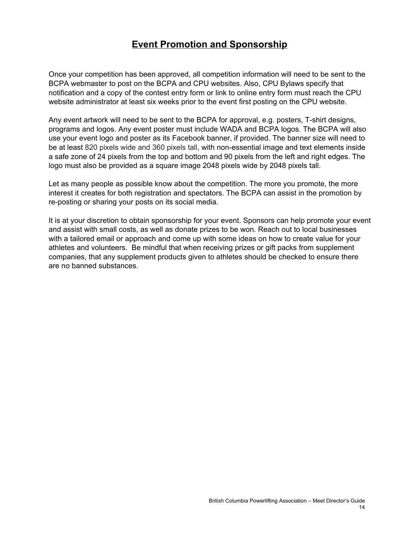### **Event Promotion and Sponsorship**

Once your competition has been approved, all competition information will need to be sent to the BCPA webmaster to post on the BCPA and CPU websites. Also, CPU Bylaws specify that notification and a copy of the contest entry form or link to online entry form must reach the CPU website administrator at least six weeks prior to the event first posting on the CPU website.

Any event artwork will need to be sent to the BCPA for approval, e.g. posters, T-shirt designs, programs and logos. Any event poster must include WADA and BCPA logos. The BCPA will also use your event logo and poster as its Facebook banner, if provided. The banner size will need to be at least 820 pixels wide and 360 pixels tall, with non-essential image and text elements inside a safe zone of 24 pixels from the top and bottom and 90 pixels from the left and right edges. The logo must also be provided as a square image 2048 pixels wide by 2048 pixels tall.

Let as many people as possible know about the competition. The more you promote, the more interest it creates for both registration and spectators. The BCPA can assist in the promotion by re-posting or sharing your posts on its social media.

It is at your discretion to obtain sponsorship for your event. Sponsors can help promote your event and assist with small costs, as well as donate prizes to be won. Reach out to local businesses with a tailored email or approach and come up with some ideas on how to create value for your athletes and volunteers. Be mindful that when receiving prizes or gift packs from supplement companies, that any supplement products given to athletes should be checked to ensure there are no banned substances.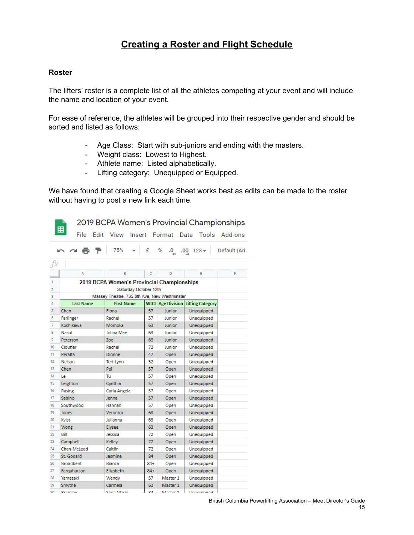### **Creating a Roster and Flight Schedule**

#### **Roster**

E.

The lifters' roster is a complete list of all the athletes competing at your event and will include the name and location of your event.

For ease of reference, the athletes will be grouped into their respective gender and should be sorted and listed as follows:

- Age Class: Start with sub-juniors and ending with the masters.
- Weight class: Lowest to Highest.
- Athlete name: Listed alphabetically.
- Lifting category: Unequipped or Equipped.

We have found that creating a Google Sheet works best as edits can be made to the roster without having to post a new link each time.

2019 BCPA Women's Provincial Championships

|                | 6 P              | 75%                                          | £      | %<br>0.      | $.00 \t123*$            | Default (Ari |
|----------------|------------------|----------------------------------------------|--------|--------------|-------------------------|--------------|
|                |                  |                                              |        |              |                         |              |
|                | A                | B                                            | C      | D            | Ε                       | F            |
| 1              |                  | 2019 BCPA Women's Provincial Championships   |        |              |                         |              |
| $\overline{c}$ |                  | Saturday October 12th                        |        |              |                         |              |
| 3              |                  | Massey Theatre, 735 8th Ave, New Westminster |        |              |                         |              |
| 4              | <b>Last Name</b> | <b>First Name</b>                            | WtCl   | Age Division | <b>Lifting Category</b> |              |
| 5              | Chen             | Fiona                                        | 57     | Junior       | Unequipped              |              |
| 6              | Farlinger        | Rachel                                       | 57     | Junior       | Unequipped              |              |
| $\overline{7}$ | Koshikawa        | Momoka                                       | 63     | Junior       | Unequipped              |              |
| 8              | Nasol            | Jolina Mae                                   | 63     | Junior       | Unequipped              |              |
| 9              | Peterson         | Zoe                                          | 63     | Junior       | Unequipped              |              |
| 10             | Cloutier         | Rachel                                       | 72     | Junior       | Unequipped              |              |
| 11             | Peralta          | Dionne                                       | 47     | Open         | Unequipped              |              |
| 12             | <b>Nelson</b>    | Teri-Lynn                                    | 52     | Open         | Unequipped              |              |
| 13             | Chen             | Pei                                          | 57     | Open         | Unequipped              |              |
| 14             | Le               | Tu                                           | 57     | Open         | Unequipped              |              |
| 15             | Leighton         | Cynthia                                      | 57     | Open         | Unequipped              |              |
| 16             | Rasing           | Carla Angela                                 | 57     | Open         | Unequipped              |              |
| 17             | Sabino           | Jenna                                        | 57     | Open         | Unequipped              |              |
| 18             | Southwood        | Hannah                                       | 57     | Open         | Unequipped              |              |
| 19             | Jones            | Veronica                                     | 63     | Open         | Unequipped              |              |
| 20             | Kvist            | Julianna                                     | 63     | Open         | Unequipped              |              |
| 21             | Wong             | Elysee                                       | 63     | Open         | Unequipped              |              |
| 22             | Bill             | Jessica                                      | 72     | Open         | Unequipped              |              |
| 23             | Campbell         | Kelley                                       | 72     | Open         | Unequipped              |              |
| 24             | Chan-McLeod      | Caitlin                                      | 72     | Open         | Unequipped              |              |
| 25             | St. Godard       | Jasmine                                      | 84     | Open         | Unequipped              |              |
| 26             | <b>Broadbent</b> | Bianca                                       | $84+$  | Open         | Unequipped              |              |
| 27             | Farquharson      | Elizabeth                                    | $84+$  | Open         | Unequipped              |              |
| 28             | Yamazaki         | Wendy                                        | 57     | Master 1     | Unequipped              |              |
| 29             | Smythe           | Carmela                                      | 63     | Master 1     | <b>Unequipped</b>       |              |
| COL.           | $n =$            | $21 - 24$                                    | $\sim$ | $1.8 - 1.5$  | $1.1 - 1.1$             |              |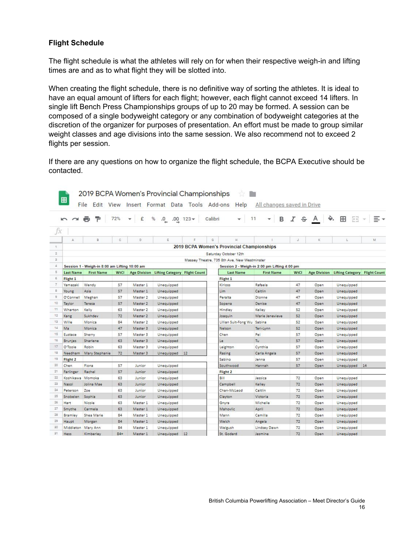#### **Flight Schedule**

<sup>31</sup> Hess Kimberley 84+ Master 1 Unequipped 12

The flight schedule is what the athletes will rely on for when their respective weigh-in and lifting times are and as to what flight they will be slotted into.

When creating the flight schedule, there is no definitive way of sorting the athletes. It is ideal to have an equal amount of lifters for each flight; however, each flight cannot exceed 14 lifters. In single lift Bench Press Championships groups of up to 20 may be formed. A session can be composed of a single bodyweight category or any combination of bodyweight categories at the discretion of the organizer for purposes of presentation. An effort must be made to group similar weight classes and age divisions into the same session. We also recommend not to exceed 2 flights per session.

If there are any questions on how to organize the flight schedule, the BCPA Executive should be contacted.

|                | $\sim$ $\sim$      | 렬<br><b>PR</b>                                | 72%  | £<br>٠              | %<br>.0 0.00 123                           |    | 11<br>Calibri<br>÷                           | $\, {\bf B}$<br>$\mathbf{v}$ |      | $I$ $\frac{1}{2}$ $\frac{1}{2}$ $\frac{1}{2}$ . | 田 田 - 三 -                     |    |
|----------------|--------------------|-----------------------------------------------|------|---------------------|--------------------------------------------|----|----------------------------------------------|------------------------------|------|-------------------------------------------------|-------------------------------|----|
| fx             |                    |                                               |      |                     |                                            |    |                                              |                              |      |                                                 |                               |    |
|                | A                  | B                                             | c.   | D.                  | Ε                                          | F  | G<br>$\overline{H}$                          |                              | J.   | K.                                              | L                             | M  |
| $\top$         |                    |                                               |      |                     |                                            |    | 2019 BCPA Women's Provincial Championships   |                              |      |                                                 |                               |    |
| $\mathbf{2}$   |                    |                                               |      |                     |                                            |    | Saturday October 12th                        |                              |      |                                                 |                               |    |
| s.             |                    |                                               |      |                     |                                            |    | Massey Theatre, 735 8th Ave, New Westminster |                              |      |                                                 |                               |    |
| $\overline{4}$ |                    | Session 1 - Weigh-in 8:00 am Lifting 10:00 am |      |                     |                                            |    | Session 2 - Weigh-in 2:00 pm Lifting 4:00 pm |                              |      |                                                 |                               |    |
| $5^{\circ}$    | <b>Last Name</b>   | <b>First Name</b>                             | WtCl |                     | Age Division Lifting Category Flight Count |    | <b>Last Name</b>                             | <b>First Name</b>            | WtCl | <b>Age Division</b>                             | Lifting Category Flight Count |    |
| 6              | Flight 1           |                                               |      |                     |                                            |    | Flight 1                                     |                              |      |                                                 |                               |    |
| 7              | Yamazaki           | Wendy                                         | 57   | Master 1            | Unequipped                                 |    | Kirloss                                      | Rafaela                      | 47   | Open                                            | Unequipped                    |    |
| 8              | Young              | Asia                                          | 57   | Master <sub>1</sub> | Unequipped                                 |    | Lim                                          | Caitlin                      | 47   | Open                                            | Unequipped                    |    |
| $\overline{9}$ | O'Connell          | Meghan                                        | 57   | Master 2            | Unequipped                                 |    | Peralta                                      | Dionne                       | 47   | Open                                            | Unequipped                    |    |
| 10             | Taylor             | Teresa                                        | 57   | Master 2            | Unequipped                                 |    | Sopena                                       | Denise                       | 47   | Open                                            | Unequipped                    |    |
| 11             | Wharton            | Kelly                                         | 63   | Master 2            | Unequipped                                 |    | Hindley                                      | Kelley                       | 52   | Open                                            | Unequipped                    |    |
| 12             | Kang               | Sukhdev                                       | 72   | Master 2            | Unequipped                                 |    | Joaquin                                      | Marie Jenevieve              | 52   | Open                                            | Unequipped                    |    |
| 13             | Wille              | Monica                                        | 84   | Master 2            | Unequipped                                 |    | Lillian Suit-Fong Wu Sabina                  |                              | 52   | Open                                            | Unequipped                    |    |
| 14             | Ma                 | Monica                                        | 47   | Master 3            | Unequipped                                 |    | Nelson                                       | Teri-Lynn                    | 52   | Open                                            | Unequipped                    |    |
| 15             | Eustace            | Sherry                                        | 57   | Master 3            | Unequipped                                 |    | Chen                                         | Pei                          | 57   | Open                                            | Unequipped                    |    |
| 16             | Brunjes            | Sharlene                                      | 63   | Master <sub>3</sub> | Unequipped                                 |    | Le                                           | Tu                           | 57   | Open                                            | Unequipped                    |    |
| 17             | O'Toole            | Robin                                         | 63   | Master 3            | Unequipped                                 |    | Leighton                                     | Cynthia                      | 57   | Open                                            | Unequipped                    |    |
| 18             | Needham            | Mary Stephanie                                | 72   | Master 3            | Unequipped                                 | 12 | Rasing                                       | Carla Angela                 | 57   | Open                                            | Unequipped                    |    |
| 19             | Flight 2           |                                               |      |                     |                                            |    | Sabino                                       | Jenna                        | 57   | Open                                            | Unequipped                    |    |
| 20             | Chen               | Fiona                                         | 57   | Junior              | Unequipped                                 |    | Southwood                                    | Hannah                       | 57   | Open                                            | Unequipped                    | 14 |
| 21             | Farlinger          | Rachel                                        | 57   | Junior              | Unequipped                                 |    | Flight 2                                     |                              |      |                                                 |                               |    |
| 22             | Koshikawa Momoka   |                                               | 63   | Junior              | Unequipped                                 |    | Bill                                         | Jessica                      | 72   | Open                                            | Unequipped                    |    |
| 22             | Nasol              | Jolina Mae                                    | 63   | Junior              | Unequipped                                 |    | Campbell                                     | Kelley                       | 72   | Open                                            | Unequipped                    |    |
| 24             | Peterson           | Zoe                                           | 63   | Junior              | Unequipped                                 |    | Chan-McLeod                                  | Caitlin                      | 72   | Open                                            | Unequipped                    |    |
| 25             | Snobelen           | Sophia                                        | 63   | Junior              | Unequipped                                 |    | Clayton                                      | Victoria                     | 72   | Open                                            | Unequipped                    |    |
| 26             | Hart               | Nicole                                        | 63   | Master 1            | Unequipped                                 |    | Gnyra                                        | Michelle                     | 72   | Open                                            | Unequipped                    |    |
| 27             | Smythe             | Carmela                                       | 63   | Master 1            | Unequipped                                 |    | Mahovlic                                     | April                        | 72   | Open                                            | Unequipped                    |    |
| 28             | Bramley            | Shea Marie                                    | 84   | Master 1            | Unequipped                                 |    | Mann                                         | Camilla                      | 72   | Open                                            | Unequipped                    |    |
| 29             | Haupt              | Morgan                                        | 84   | Master 1            | Unequipped                                 |    | Welch                                        | Angela                       | 72   | Open.                                           | Unequipped                    |    |
| 30             | Middleton Mary Ann |                                               | 84   | Master 1            | Unequipped                                 |    | Welgush                                      | Lindsey Dawn                 | 72   | Open                                            | Unequipped                    |    |

St. Godard

Jasmine

72 Open Unequipped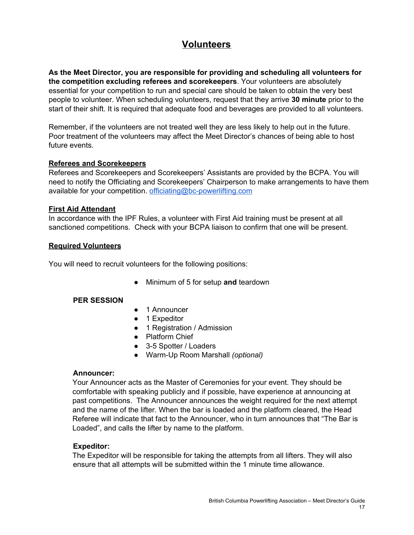# **Volunteers**

**As the Meet Director, you are responsible for providing and scheduling all volunteers for the competition excluding referees and scorekeepers**. Your volunteers are absolutely essential for your competition to run and special care should be taken to obtain the very best people to volunteer. When scheduling volunteers, request that they arrive **30 minute** prior to the start of their shift. It is required that adequate food and beverages are provided to all volunteers.

Remember, if the volunteers are not treated well they are less likely to help out in the future. Poor treatment of the volunteers may affect the Meet Director's chances of being able to host future events.

#### **Referees and Scorekeepers**

Referees and Scorekeepers and Scorekeepers' Assistants are provided by the BCPA. You will need to notify the Officiating and Scorekeepers' Chairperson to make arrangements to have them available for your competition. [officiating@bc-powerlifting.com](mailto:officiating@bc-powerlifting.com)

#### **First Aid Attendant**

In accordance with the IPF Rules, a volunteer with First Aid training must be present at all sanctioned competitions. Check with your BCPA liaison to confirm that one will be present.

#### **Required Volunteers**

You will need to recruit volunteers for the following positions:

● Minimum of 5 for setup **and** teardown

#### **PER SESSION**

- 1 Announcer
- 1 Expeditor
- 1 Registration / Admission
- Platform Chief
- 3-5 Spotter / Loaders
- Warm-Up Room Marshall *(optional)*

#### **Announcer:**

Your Announcer acts as the Master of Ceremonies for your event. They should be comfortable with speaking publicly and if possible, have experience at announcing at past competitions. The Announcer announces the weight required for the next attempt and the name of the lifter. When the bar is loaded and the platform cleared, the Head Referee will indicate that fact to the Announcer, who in turn announces that "The Bar is Loaded", and calls the lifter by name to the platform.

#### **Expeditor:**

The Expeditor will be responsible for taking the attempts from all lifters. They will also ensure that all attempts will be submitted within the 1 minute time allowance.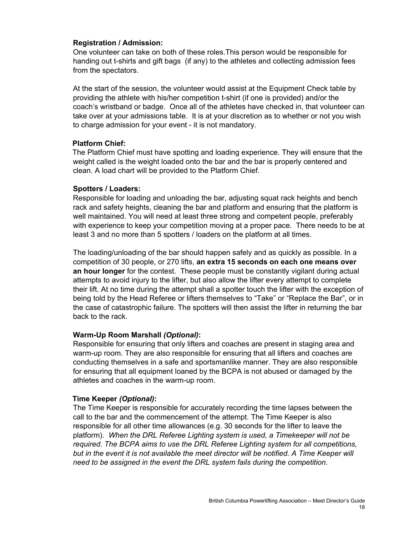#### **Registration / Admission:**

One volunteer can take on both of these roles.This person would be responsible for handing out t-shirts and gift bags (if any) to the athletes and collecting admission fees from the spectators.

At the start of the session, the volunteer would assist at the Equipment Check table by providing the athlete with his/her competition t-shirt (if one is provided) and/or the coach's wristband or badge. Once all of the athletes have checked in, that volunteer can take over at your admissions table. It is at your discretion as to whether or not you wish to charge admission for your event - it is not mandatory.

#### **Platform Chief:**

The Platform Chief must have spotting and loading experience. They will ensure that the weight called is the weight loaded onto the bar and the bar is properly centered and clean. A load chart will be provided to the Platform Chief.

#### **Spotters / Loaders:**

Responsible for loading and unloading the bar, adjusting squat rack heights and bench rack and safety heights, cleaning the bar and platform and ensuring that the platform is well maintained. You will need at least three strong and competent people, preferably with experience to keep your competition moving at a proper pace. There needs to be at least 3 and no more than 5 spotters / loaders on the platform at all times.

The loading/unloading of the bar should happen safely and as quickly as possible. In a competition of 30 people, or 270 lifts, **an extra 15 seconds on each one means over an hour longer** for the contest. These people must be constantly vigilant during actual attempts to avoid injury to the lifter, but also allow the lifter every attempt to complete their lift. At no time during the attempt shall a spotter touch the lifter with the exception of being told by the Head Referee or lifters themselves to "Take" or "Replace the Bar", or in the case of catastrophic failure. The spotters will then assist the lifter in returning the bar back to the rack.

#### **Warm-Up Room Marshall** *(Optional)***:**

Responsible for ensuring that only lifters and coaches are present in staging area and warm-up room. They are also responsible for ensuring that all lifters and coaches are conducting themselves in a safe and sportsmanlike manner. They are also responsible for ensuring that all equipment loaned by the BCPA is not abused or damaged by the athletes and coaches in the warm-up room.

#### **Time Keeper** *(Optional)***:**

The Time Keeper is responsible for accurately recording the time lapses between the call to the bar and the commencement of the attempt. The Time Keeper is also responsible for all other time allowances (e.g. 30 seconds for the lifter to leave the platform). *When the DRL Referee Lighting system is used, a Timekeeper will not be required*. *The BCPA aims to use the DRL Referee Lighting system for all competitions, but in the event it is not available the meet director will be notified. A Time Keeper will need to be assigned in the event the DRL system fails during the competition.*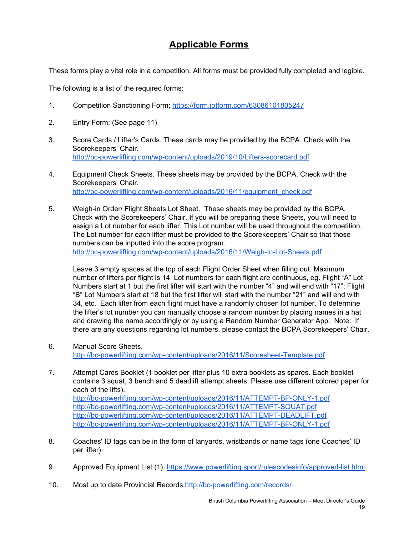# **Applicable Forms**

These forms play a vital role in a competition. All forms must be provided fully completed and legible.

The following is a list of the required forms:

- 1. Competition Sanctioning Form; <https://form.jotform.com/63086101805247>
- 2. Entry Form; (See page 11)
- 3. Score Cards / Lifter's Cards. These cards may be provided by the BCPA. Check with the Scorekeepers' Chair. <http://bc-powerlifting.com/wp-content/uploads/2019/10/Lifters-scorecard.pdf>
- 4. Equipment Check Sheets. These sheets may be provided by the BCPA. Check with the Scorekeepers' Chair. [http://bc-powerlifting.com/wp-content/uploads/2016/11/equipment\\_check.pdf](http://bc-powerlifting.com/wp-content/uploads/2016/11/equipment_check.pdf)
- 5. Weigh-in Order/ Flight Sheets Lot Sheet. These sheets may be provided by the BCPA. Check with the Scorekeepers' Chair. If you will be preparing these Sheets, you will need to assign a Lot number for each lifter. This Lot number will be used throughout the competition. The Lot number for each lifter must be provided to the Scorekeepers' Chair so that those numbers can be inputted into the score program. <http://bc-powerlifting.com/wp-content/uploads/2016/11/Weigh-In-Lot-Sheets.pdf>

Leave 3 empty spaces at the top of each Flight Order Sheet when filling out. Maximum number of lifters per flight is 14. Lot numbers for each flight are continuous, eg. Flight "A" Lot Numbers start at 1 but the first lifter will start with the number "4" and will end with "17"; Flight "B" Lot Numbers start at 18 but the first lifter will start with the number "21" and will end with 34, etc. Each lifter from each flight must have a randomly chosen lot number. To determine the lifter's lot number you can manually choose a random number by placing names in a hat and drawing the name accordingly or by using a Random Number Generator App. Note: If there are any questions regarding lot numbers, please contact the BCPA Scorekeepers' Chair.

- 6. Manual Score Sheets. <http://bc-powerlifting.com/wp-content/uploads/2016/11/Scoresheet-Template.pdf>
- 7. Attempt Cards Booklet (1 booklet per lifter plus 10 extra booklets as spares. Each booklet contains 3 squat, 3 bench and 5 deadlift attempt sheets. Please use different colored paper for each of the lifts). <http://bc-powerlifting.com/wp-content/uploads/2016/11/ATTEMPT-BP-ONLY-1.pdf> <http://bc-powerlifting.com/wp-content/uploads/2016/11/ATTEMPT-SQUAT.pdf> <http://bc-powerlifting.com/wp-content/uploads/2016/11/ATTEMPT-DEADLIFT.pdf> <http://bc-powerlifting.com/wp-content/uploads/2016/11/ATTEMPT-BP-ONLY-1.pdf>
- 8. Coaches' ID tags can be in the form of lanyards, wristbands or name tags (one Coaches' ID per lifter).
- 9. Approved Equipment List (1). <https://www.powerlifting.sport/rulescodesinfo/approved-list.html>
- 10. Most up to date Provincial Records.<http://bc-powerlifting.com/records/>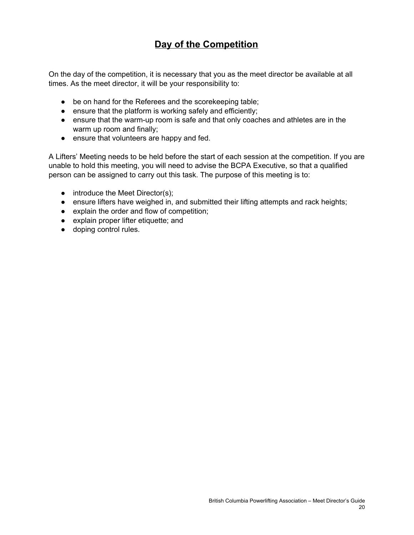# **Day of the Competition**

On the day of the competition, it is necessary that you as the meet director be available at all times. As the meet director, it will be your responsibility to:

- be on hand for the Referees and the scorekeeping table;
- ensure that the platform is working safely and efficiently;
- ensure that the warm-up room is safe and that only coaches and athletes are in the warm up room and finally;
- ensure that volunteers are happy and fed.

A Lifters' Meeting needs to be held before the start of each session at the competition. If you are unable to hold this meeting, you will need to advise the BCPA Executive, so that a qualified person can be assigned to carry out this task. The purpose of this meeting is to:

- $\bullet$  introduce the Meet Director(s);
- ensure lifters have weighed in, and submitted their lifting attempts and rack heights;
- explain the order and flow of competition;
- explain proper lifter etiquette; and
- doping control rules.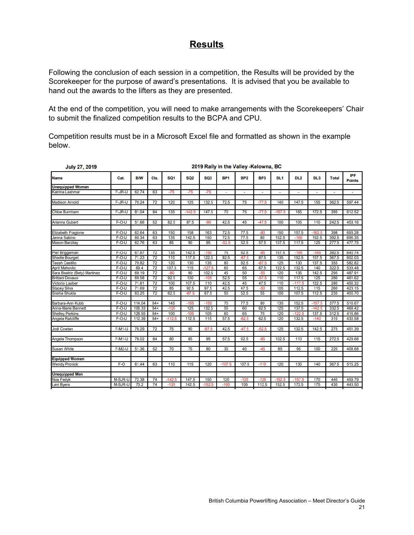### **Results**

Following the conclusion of each session in a competition, the Results will be provided by the Scorekeeper for the purpose of award's presentations. It is advised that you be available to hand out the awards to the lifters as they are presented.

At the end of the competition, you will need to make arrangements with the Scorekeepers' Chair to submit the finalized competition results to the BCPA and CPU.

Competition results must be in a Microsoft Excel file and formatted as shown in the example below.

| <b>July 27, 2019</b>           | 2019 Rally in the Valley -Kelowna, BC |                |          |                 |             |                 |                 |                 |                 |                 |                 |                 |                |                             |
|--------------------------------|---------------------------------------|----------------|----------|-----------------|-------------|-----------------|-----------------|-----------------|-----------------|-----------------|-----------------|-----------------|----------------|-----------------------------|
| <b>Name</b>                    | Cat.                                  | <b>B/W</b>     | Cls.     | SQ <sub>1</sub> | <b>SQ2</b>  | SQ <sub>3</sub> | BP <sub>1</sub> | BP <sub>2</sub> | BP <sub>3</sub> | DL <sub>1</sub> | DL <sub>2</sub> | DL <sub>3</sub> | Total          | <b>IPF</b><br><b>Points</b> |
| <b>Unequipped Women</b>        |                                       |                |          |                 |             |                 |                 |                 |                 |                 |                 |                 |                |                             |
| Katrina Lashmar                | F-JR-U                                | 62.74          | 63       | $-75$           | $-75$       | $-75$           | $\sim$          | ×,              | ×               | $\mu$           | $\blacksquare$  |                 | ٠              | ٠                           |
| <b>Madison Arnold</b>          | F-JR-U                                | 70.24          | 72       | 120             | 125         | 132.5           | 72.5            | 75              | $-77.5$         | 140             | 147.5           | 155             | 362.5          | 597.44                      |
| <b>Chloe Burnham</b>           | F-JR-U                                | 81.04          | 84       | 135             | $-142.5$    | 147.5           | 70              | 75              | $-77.5$         | $-157.5$        | 165             | 172.5           | 395            | 612.52                      |
| Arianna Gubert                 | $F-O-U$                               | 51.66          | 52       | 82.5            | 87.5        | $-90$           | 42.5            | 45              | $-47.5$         | 100             | 105             | 110             | 242.5          | 453.16                      |
| Elizabeth Fragione             | $F-O-U$                               | 62.64          | 63       | 150             | 158         | 163             | 72.5            | 77.5            | $-80$           | 150             | 157.5           | $-162.5$        | 398            | 693.28                      |
| Jenna Sabino<br>Mason Barzilay | $F-O-U$<br>$F-O-U$                    | 60.34<br>62.76 | 63<br>63 | 135<br>85       | 142.5<br>90 | 150<br>95       | 72.5<br>$-52.5$ | 77.5<br>52.5    | 80<br>57.5      | 152.5<br>107.5  | $-160$<br>117.5 | 162.5<br>125    | 392.5<br>277.5 | 696.35<br>477.75            |
|                                |                                       |                |          |                 |             |                 |                 |                 |                 |                 |                 |                 |                |                             |
| Pier Briggeman                 | $F-O-U$                               | 67.87          | 72       | 135             | 142.5       | $-150$          | 75              | 82.5            | $-85$           | 157.5           | $-165$          | $-165$          | 382.5          | 640.74                      |
| <b>Shadie Bourget</b>          | $F-O-U$                               | 71.23          | 72       | 110             | 117.5       | 122.5           | 82.5            | $-87.5$         | 87.5            | 135             | 152.5           | 157.5           | 367.5          | 602.03                      |
| <b>Teesh Castillo</b>          | $F-O-U$                               | 70.82          | 72       | 120             | 130         | 135             | 80              | 82.5            | $-87.5$         | 125             | 130             | 137.5           | 355            | 582.82                      |
| <b>April Mahovlic</b>          | $F-O-U$                               | 69.4           | 72       | 107.5           | 115         | $-127.5$        | 60              | 65              | 67.5            | 122.5           | 132.5           | 140             | 322.5          | 533.48                      |
| Sara Beatriz (Bety) Martinez   | $F-O-U$                               | 69.19          | 72       | $-80$           | 90          | 102.5           | 45              | 50              | $-55$           | 120             | 135             | 142.5           | 295            | 487.91                      |
| <b>Brittani Dovauo</b>         | $F-O-U$                               | 69.58          | 72       | 92.5            | 100         | $-105$          | 52.5            | 55              | $-57.5$         | 110             | 117.5           | 125             | 280            | 461.62                      |
| Victoria Laaber                | $F-O-U$                               | 71.61          | 72       | 100             | 107.5       | 110             | 42.5            | 45              | 47.5            | 110             | $-117.5$        | 122.5           | 280            | 456.32                      |
| <b>Stacey Silva</b>            | $F-O-U$                               | 71.69          | 72       | 85              | 92.5        | 97.5            | 42.5            | 47.5            | $-50$           | 105             | 112.5           | 115             | 260            | 423.15                      |
| Sneha Shukla                   | $F-O-U$                               | 63.25          | 72       | 62.5            | $-67.5$     | 67.5            | 50              | 52.5            | 55              | 100             | 107.5           | 112.5           | 235            | 400.70                      |
| Barbara-Ann Kubb               | $F-O-U$                               | 114.04         | $84+$    | 145             | $-155$      | $-155$          | 70              | 77.5            | 80              | 135             | 152.5           | $-157.5$        | 377.5          | 516.67                      |
| Anna-Marie Bennett             | $F-O-U$                               | 106.33         | $84+$    | $-120$          | 125         | 132.5           | 55              | 60              | 62.5            | 125             | 137.5           | $-142.5$        | 332.5          | 468.42                      |
| <b>Shelley Perkins</b>         | $F-O-U$                               | 128.55         | $84+$    | 100             | $-105$      | 105             | 60              | 65              | 70              | 120             | $-122.5$        | 137.5           | 312.5          | 416.86                      |
| Angela Ratcliffe               | $F-O-U$                               | 112.39         | $84+$    | $-112.5$        | 112.5       | 115             | 57.5            | $-62.5$         | 62.5            | 120             | 132.5           | $-140$          | 310            | 430.58                      |
| Jodi Cowtan                    | <b>F-M1-U</b>                         | 70.29          | 72       | 75              | 90          | $-97.5$         | 42.5            | $-47.5$         | $-52.5$         | 125             | 132.5           | 142.5           | 275            | 451.39                      |
| Angela Thompson                | $F-M1-U$                              | 78.02          | 84       | 80              | 85          | 95              | 57.5            | 62.5            | $-65$           | 102.5           | 110             | 115             | 272.5          | 429.68                      |
| <b>Susan White</b>             | $F-M2-U$                              | 51.36          | 52       | 70              | 75          | 80              | 35              | 40              | $-45$           | 85              | 95              | 100             | 220            | 408.68                      |
| <b>Equipped Women</b>          |                                       |                |          |                 |             |                 |                 |                 |                 |                 |                 |                 |                |                             |
| <b>Wendy Pronick</b>           | $F-0$                                 | 61.44          | 63       | 110             | 115         | 120             | $-107.5$        | 107.5           | $-110$          | 120             | 130             | 140             | 367.5          | 515.25                      |
| <b>Unequipped Men</b>          |                                       |                |          |                 |             |                 |                 |                 |                 |                 |                 |                 |                |                             |
| Noa Fedyk                      | M-SJR-U                               | 72.38          | 74       | $-142.5$        | 147.5       | 150             | 120             | $-125$          | $-125$          | $-152.5$        | $-157.5$        | 170             | 440            | 459.79                      |
| Levi Byers                     | M-SJR-U                               | 73.2           | 74       | $-125$          | 142.5       | $-152.5$        | $-100$          | 105             | 112.5           | 152.5           | 172.5           | 175             | 430            | 443.50                      |